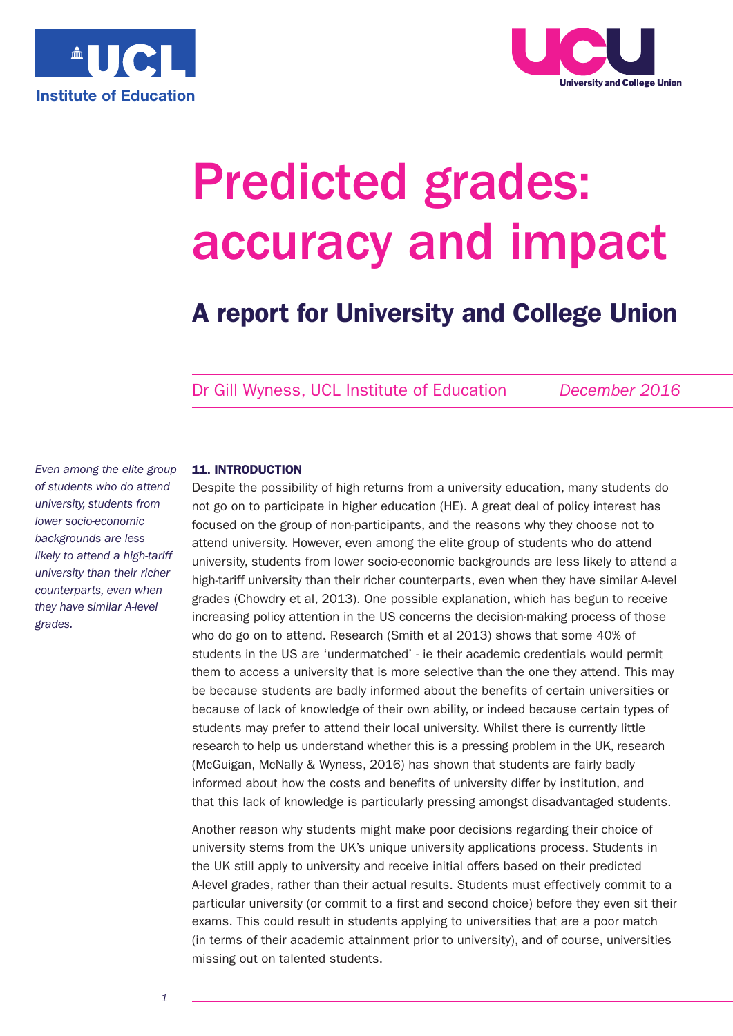



# Predicted grades: accuracy and impact

# **A report for University and College Union**

Dr Gill Wyness, UCL Institute of Education *December 2016*

*Even among the elite group of students who do attend university, students from lower socio-economic backgrounds are less likely to attend a high-tariff university than their richer counterparts, even when they have similar A-level grades.*

# **11. INTRODUCTION**

Despite the possibility of high returns from a university education, many students do not go on to participate in higher education (HE). A great deal of policy interest has focused on the group of non-participants, and the reasons why they choose not to attend university. However, even among the elite group of students who do attend university, students from lower socio-economic backgrounds are less likely to attend a high-tariff university than their richer counterparts, even when they have similar A-level grades (Chowdry et al, 2013). One possible explanation, which has begun to receive increasing policy attention in the US concerns the decision-making process of those who do go on to attend. Research (Smith et al 2013) shows that some 40% of students in the US are 'undermatched' - ie their academic credentials would permit them to access a university that is more selective than the one they attend. This may be because students are badly informed about the benefits of certain universities or because of lack of knowledge of their own ability, or indeed because certain types of students may prefer to attend their local university. Whilst there is currently little research to help us understand whether this is a pressing problem in the UK, research (McGuigan, McNally & Wyness, 2016) has shown that students are fairly badly informed about how the costs and benefits of university differ by institution, and that this lack of knowledge is particularly pressing amongst disadvantaged students.

Another reason why students might make poor decisions regarding their choice of university stems from the UK's unique university applications process. Students in the UK still apply to university and receive initial offers based on their predicted A-level grades, rather than their actual results. Students must effectively commit to a particular university (or commit to a first and second choice) before they even sit their exams. This could result in students applying to universities that are a poor match (in terms of their academic attainment prior to university), and of course, universities missing out on talented students.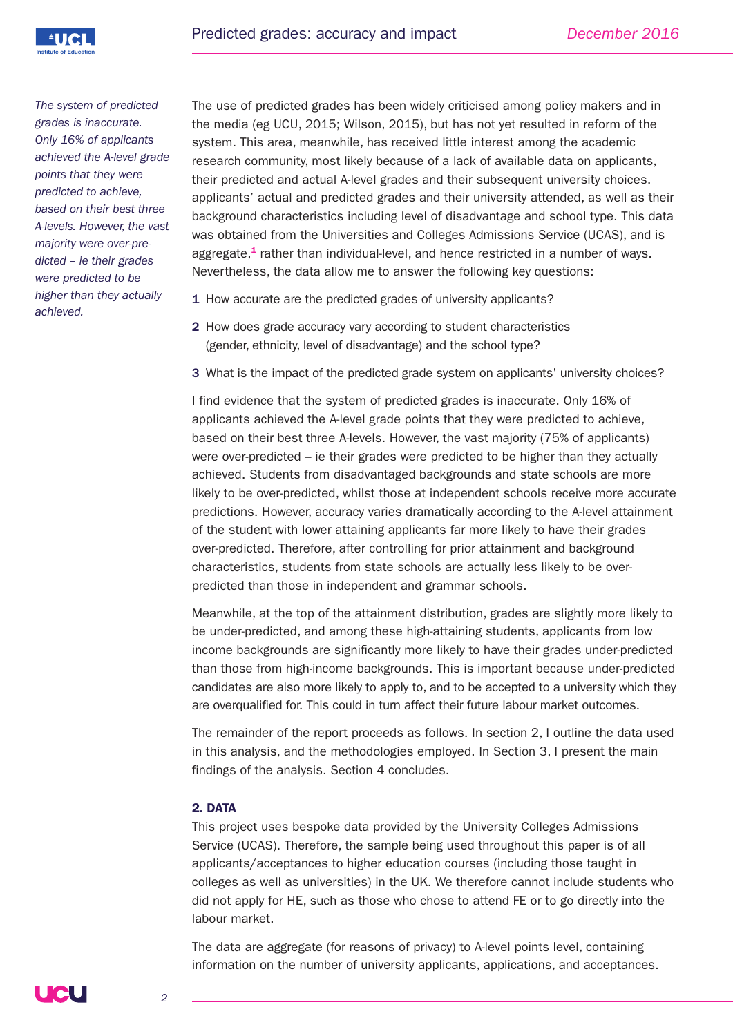

*The system of predicted grades is inaccurate. Only 16% of applicants achieved the A-level grade points that they were predicted to achieve, based on their best three A-levels. However, the vast majority were over-predicted – ie their grades were predicted to be higher than they actually achieved.*

The use of predicted grades has been widely criticised among policy makers and in the media (eg UCU, 2015; Wilson, 2015), but has not yet resulted in reform of the system. This area, meanwhile, has received little interest among the academic research community, most likely because of a lack of available data on applicants, their predicted and actual A-level grades and their subsequent university choices. applicants' actual and predicted grades and their university attended, as well as their background characteristics including level of disadvantage and school type. This data was obtained from the Universities and Colleges Admissions Service (UCAS), and is aggregate, **<sup>1</sup>** rather than individual-level, and hence restricted in a number of ways. Nevertheless, the data allow me to answer the following key questions:

- 1 How accurate are the predicted grades of university applicants?
- 2 How does grade accuracy vary according to student characteristics (gender, ethnicity, level of disadvantage) and the school type?
- 3 What is the impact of the predicted grade system on applicants' university choices?

I find evidence that the system of predicted grades is inaccurate. Only 16% of applicants achieved the A-level grade points that they were predicted to achieve, based on their best three A-levels. However, the vast majority (75% of applicants) were over-predicted – ie their grades were predicted to be higher than they actually achieved. Students from disadvantaged backgrounds and state schools are more likely to be over-predicted, whilst those at independent schools receive more accurate predictions. However, accuracy varies dramatically according to the A-level attainment of the student with lower attaining applicants far more likely to have their grades over-predicted. Therefore, after controlling for prior attainment and background characteristics, students from state schools are actually less likely to be overpredicted than those in independent and grammar schools.

Meanwhile, at the top of the attainment distribution, grades are slightly more likely to be under-predicted, and among these high-attaining students, applicants from low income backgrounds are significantly more likely to have their grades under-predicted than those from high-income backgrounds. This is important because under-predicted candidates are also more likely to apply to, and to be accepted to a university which they are overqualified for. This could in turn affect their future labour market outcomes.

The remainder of the report proceeds as follows. In section 2, I outline the data used in this analysis, and the methodologies employed. In Section 3, I present the main findings of the analysis. Section 4 concludes.

# **2. DATA**

This project uses bespoke data provided by the University Colleges Admissions Service (UCAS). Therefore, the sample being used throughout this paper is of all applicants/acceptances to higher education courses (including those taught in colleges as well as universities) in the UK. We therefore cannot include students who did not apply for HE, such as those who chose to attend FE or to go directly into the labour market.

The data are aggregate (for reasons of privacy) to A-level points level, containing information on the number of university applicants, applications, and acceptances.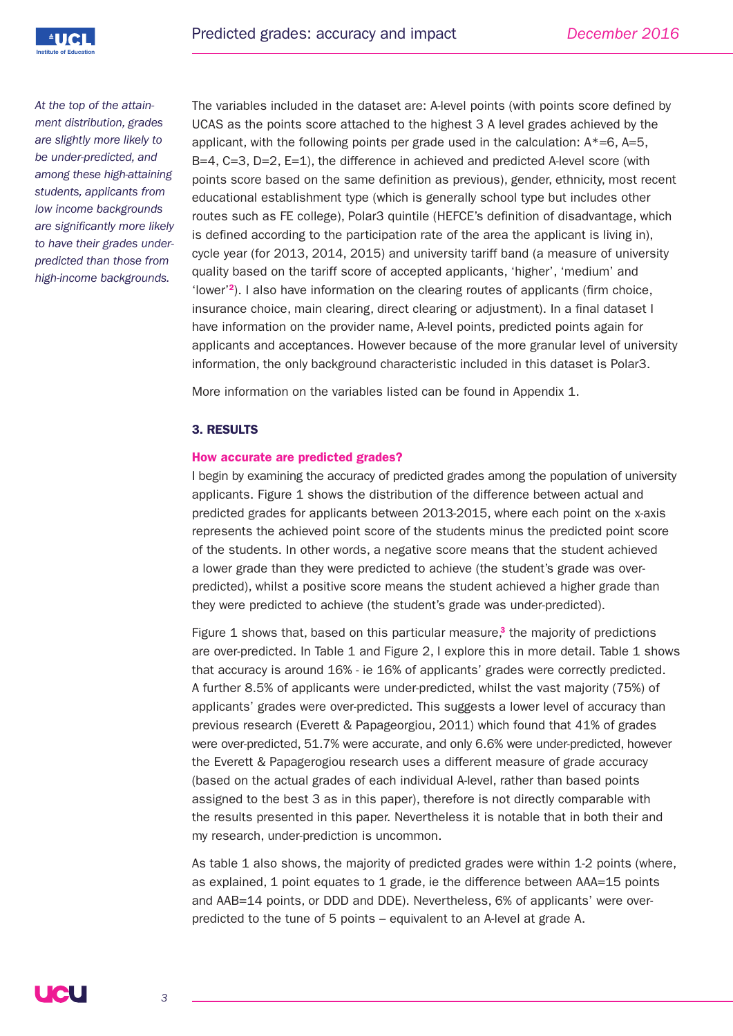

*At the top of the attainment distribution, grades are slightly more likely to be under-predicted, and among these high-attaining students, applicants from low income backgrounds are significantly more likely to have their grades underpredicted than those from high-income backgrounds.*

The variables included in the dataset are: A-level points (with points score defined by UCAS as the points score attached to the highest 3 A level grades achieved by the applicant, with the following points per grade used in the calculation:  $A^*=6$ ,  $A=5$ . B=4, C=3, D=2, E=1), the difference in achieved and predicted A-level score (with points score based on the same definition as previous), gender, ethnicity, most recent educational establishment type (which is generally school type but includes other routes such as FE college), Polar3 quintile (HEFCE's definition of disadvantage, which is defined according to the participation rate of the area the applicant is living in), cycle year (for 2013, 2014, 2015) and university tariff band (a measure of university quality based on the tariff score of accepted applicants, 'higher', 'medium' and 'lower' **<sup>2</sup>**). I also have information on the clearing routes of applicants (firm choice, insurance choice, main clearing, direct clearing or adjustment). In a final dataset I have information on the provider name, A-level points, predicted points again for applicants and acceptances. However because of the more granular level of university information, the only background characteristic included in this dataset is Polar3.

More information on the variables listed can be found in Appendix 1.

# **3. RESULTS**

#### **How accurate are predicted grades?**

I begin by examining the accuracy of predicted grades among the population of university applicants. Figure 1 shows the distribution of the difference between actual and predicted grades for applicants between 2013-2015, where each point on the x-axis represents the achieved point score of the students minus the predicted point score of the students. In other words, a negative score means that the student achieved a lower grade than they were predicted to achieve (the student's grade was overpredicted), whilst a positive score means the student achieved a higher grade than they were predicted to achieve (the student's grade was under-predicted).

Figure 1 shows that, based on this particular measure, **<sup>3</sup>** the majority of predictions are over-predicted. In Table 1 and Figure 2, I explore this in more detail. Table 1 shows that accuracy is around 16% - ie 16% of applicants' grades were correctly predicted. A further 8.5% of applicants were under-predicted, whilst the vast majority (75%) of applicants' grades were over-predicted. This suggests a lower level of accuracy than previous research (Everett & Papageorgiou, 2011) which found that 41% of grades were over-predicted, 51.7% were accurate, and only 6.6% were under-predicted, however the Everett & Papagerogiou research uses a different measure of grade accuracy (based on the actual grades of each individual A-level, rather than based points assigned to the best 3 as in this paper), therefore is not directly comparable with the results presented in this paper. Nevertheless it is notable that in both their and my research, under-prediction is uncommon.

As table 1 also shows, the majority of predicted grades were within 1-2 points (where, as explained, 1 point equates to 1 grade, ie the difference between AAA=15 points and AAB=14 points, or DDD and DDE). Nevertheless, 6% of applicants' were overpredicted to the tune of 5 points – equivalent to an A-level at grade A.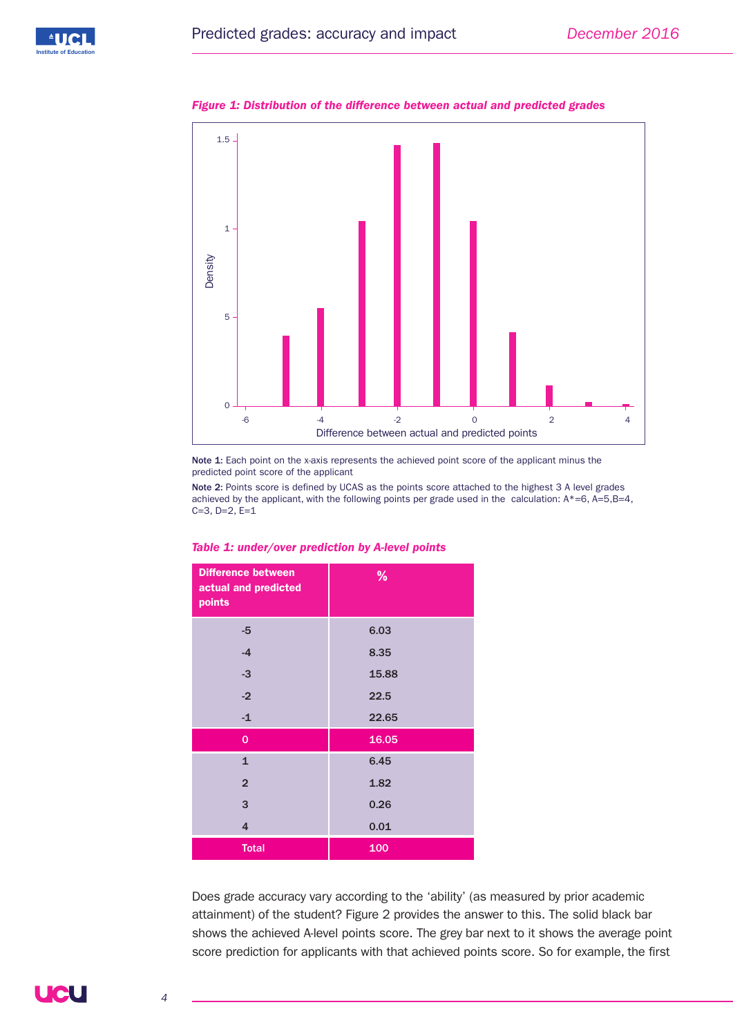



*Figure 1: Distribution of the difference between actual and predicted grades*

Note 1: Each point on the x-axis represents the achieved point score of the applicant minus the predicted point score of the applicant

Note 2: Points score is defined by UCAS as the points score attached to the highest 3 A level grades achieved by the applicant, with the following points per grade used in the calculation:  $A^*=6$ ,  $A=5$ ,  $B=4$ , C=3, D=2, E=1

| <b>Difference between</b><br>actual and predicted<br>points | %     |
|-------------------------------------------------------------|-------|
| -5                                                          | 6.03  |
| $-4$                                                        | 8.35  |
| $-3$                                                        | 15.88 |
| $-2$                                                        | 22.5  |
| $-1$                                                        | 22.65 |
| $\mathbf 0$                                                 | 16.05 |
| $\mathbf{1}$                                                | 6.45  |
| $\overline{2}$                                              | 1.82  |
| 3                                                           | 0.26  |
| $\overline{4}$                                              | 0.01  |
| <b>Total</b>                                                | 100   |

*Table 1: under/over prediction by A-level points*

Does grade accuracy vary according to the 'ability' (as measured by prior academic attainment) of the student? Figure 2 provides the answer to this. The solid black bar shows the achieved A-level points score. The grey bar next to it shows the average point score prediction for applicants with that achieved points score. So for example, the first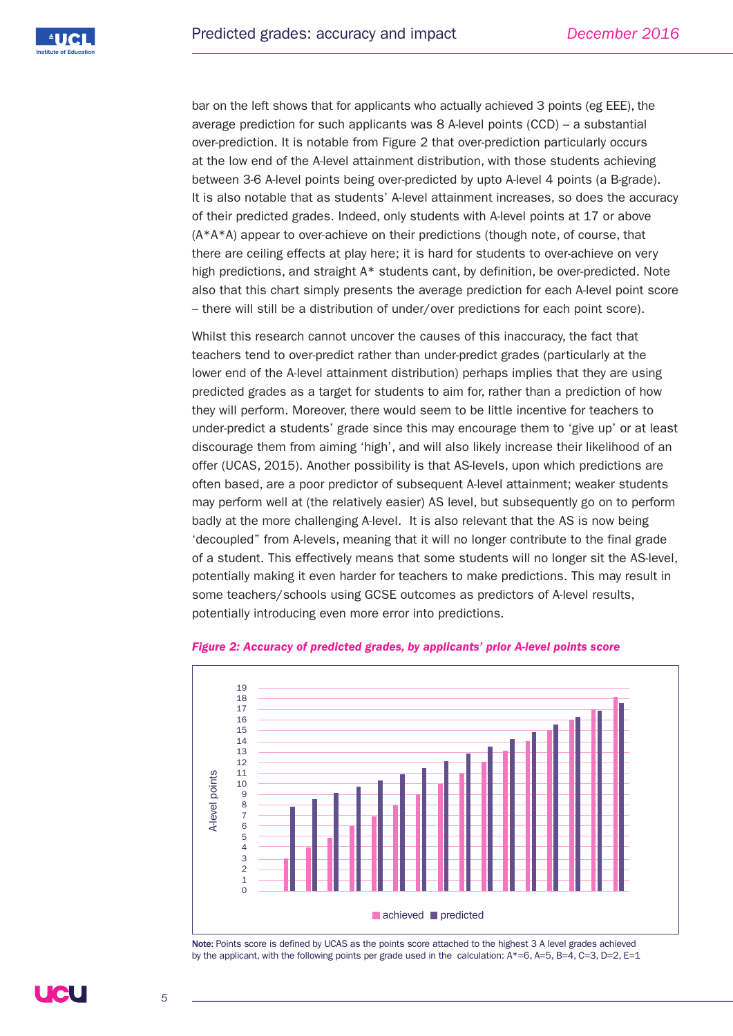

bar on the left shows that for applicants who actually achieved 3 points (eg EEE), the average prediction for such applicants was 8 A-level points (CCD) – a substantial over-prediction. It is notable from Figure 2 that over-prediction particularly occurs at the low end of the A-level attainment distribution, with those students achieving between 3-6 A-level points being over-predicted by upto A-level 4 points (a B-grade). It is also notable that as students' A-level attainment increases, so does the accuracy of their predicted grades. Indeed, only students with A-level points at 17 or above  $(A^*A^*A)$  appear to over-achieve on their predictions (though note, of course, that there are ceiling effects at play here; it is hard for students to over-achieve on very high predictions, and straight A<sup>\*</sup> students cant, by definition, be over-predicted. Note also that this chart simply presents the average prediction for each A-level point score – there will still be a distribution of under/over predictions for each point score).

Whilst this research cannot uncover the causes of this inaccuracy, the fact that teachers tend to over-predict rather than under-predict grades (particularly at the lower end of the A-level attainment distribution) perhaps implies that they are using predicted grades as a target for students to aim for, rather than a prediction of how they will perform. Moreover, there would seem to be little incentive for teachers to under-predict a students' grade since this may encourage them to 'give up' or at least discourage them from aiming 'high', and will also likely increase their likelihood of an offer (UCAS, 2015). Another possibility is that AS-levels, upon which predictions are often based, are a poor predictor of subsequent A-level attainment; weaker students may perform well at (the relatively easier) AS level, but subsequently go on to perform badly at the more challenging A-level. It is also relevant that the AS is now being 'decoupled" from A-levels, meaning that it will no longer contribute to the final grade of a student. This effectively means that some students will no longer sit the AS-level, potentially making it even harder for teachers to make predictions. This may result in some teachers/schools using GCSE outcomes as predictors of A-level results, potentially introducing even more error into predictions.



#### *Figure 2: Accuracy of predicted grades, by applicants' prior A-level points score*

Note: Points score is defined by UCAS as the points score attached to the highest 3 A level grades achieved by the applicant, with the following points per grade used in the calculation:  $A^*=6$ ,  $A=5$ ,  $B=4$ ,  $C=3$ ,  $D=2$ ,  $E=1$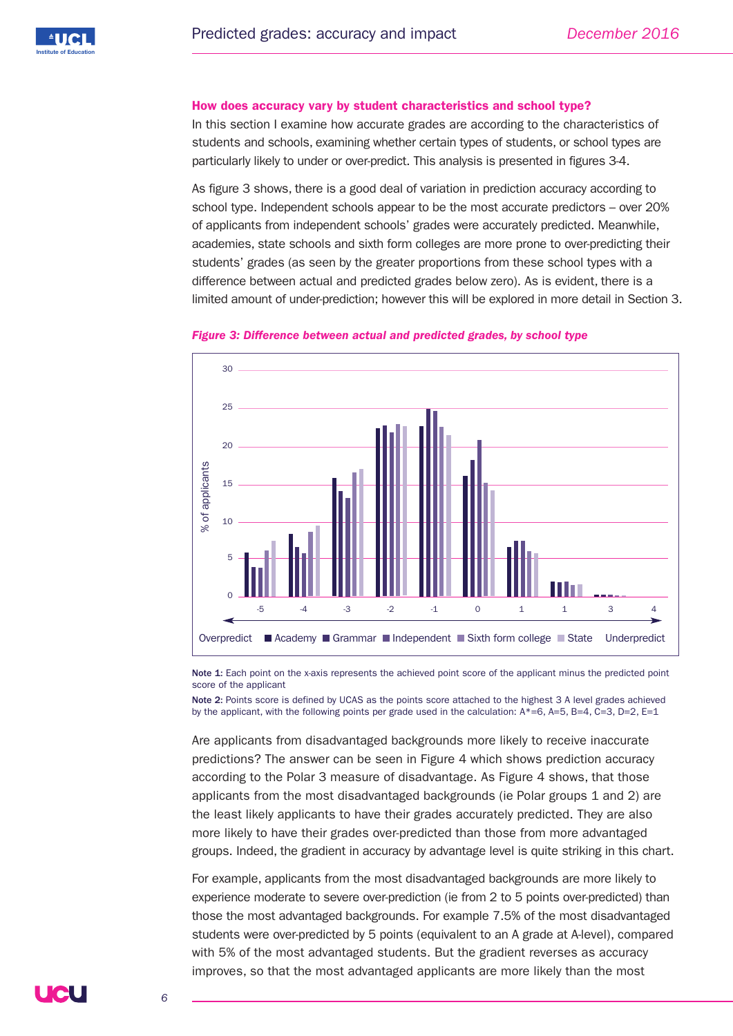#### **How does accuracy vary by student characteristics and school type?**

In this section I examine how accurate grades are according to the characteristics of students and schools, examining whether certain types of students, or school types are particularly likely to under or over-predict. This analysis is presented in figures 3-4.

As figure 3 shows, there is a good deal of variation in prediction accuracy according to school type. Independent schools appear to be the most accurate predictors – over 20% of applicants from independent schools' grades were accurately predicted. Meanwhile, academies, state schools and sixth form colleges are more prone to over-predicting their students' grades (as seen by the greater proportions from these school types with a difference between actual and predicted grades below zero). As is evident, there is a limited amount of under-prediction; however this will be explored in more detail in Section 3.



#### *Figure 3: Difference between actual and predicted grades, by school type*

Note 1: Each point on the x-axis represents the achieved point score of the applicant minus the predicted point score of the applicant

Note 2: Points score is defined by UCAS as the points score attached to the highest 3 A level grades achieved by the applicant, with the following points per grade used in the calculation:  $A^*=6$ ,  $A=5$ ,  $B=4$ ,  $C=3$ ,  $D=2$ ,  $E=1$ 

Are applicants from disadvantaged backgrounds more likely to receive inaccurate predictions? The answer can be seen in Figure 4 which shows prediction accuracy according to the Polar 3 measure of disadvantage. As Figure 4 shows, that those applicants from the most disadvantaged backgrounds (ie Polar groups 1 and 2) are the least likely applicants to have their grades accurately predicted. They are also more likely to have their grades over-predicted than those from more advantaged groups. Indeed, the gradient in accuracy by advantage level is quite striking in this chart.

For example, applicants from the most disadvantaged backgrounds are more likely to experience moderate to severe over-prediction (ie from 2 to 5 points over-predicted) than those the most advantaged backgrounds. For example 7.5% of the most disadvantaged students were over-predicted by 5 points (equivalent to an A grade at A-level), compared with 5% of the most advantaged students. But the gradient reverses as accuracy improves, so that the most advantaged applicants are more likely than the most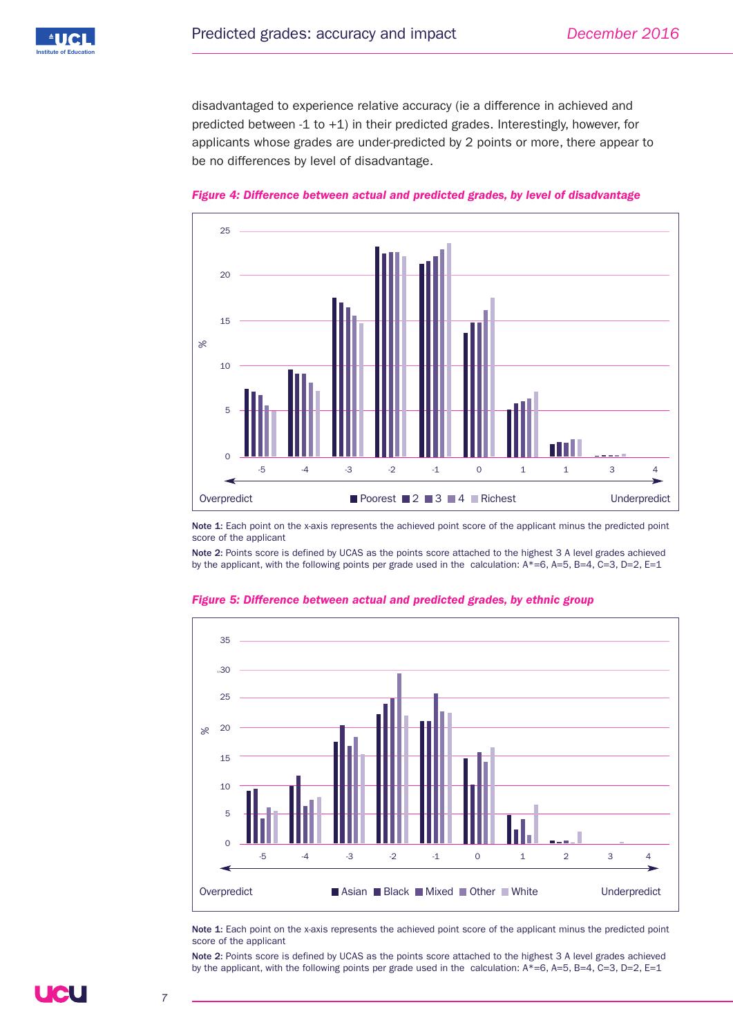

disadvantaged to experience relative accuracy (ie a difference in achieved and predicted between -1 to  $+1$ ) in their predicted grades. Interestingly, however, for applicants whose grades are under-predicted by 2 points or more, there appear to be no differences by level of disadvantage.





Note 1: Each point on the x-axis represents the achieved point score of the applicant minus the predicted point score of the applicant

Note 2: Points score is defined by UCAS as the points score attached to the highest 3 A level grades achieved by the applicant, with the following points per grade used in the calculation:  $A^*=6$ ,  $A=5$ ,  $B=4$ ,  $C=3$ ,  $D=2$ ,  $E=1$ 



*Figure 5: Difference between actual and predicted grades, by ethnic group*

Note 1: Each point on the x-axis represents the achieved point score of the applicant minus the predicted point score of the applicant

Note 2: Points score is defined by UCAS as the points score attached to the highest 3 A level grades achieved by the applicant, with the following points per grade used in the calculation: A\*=6, A=5, B=4, C=3, D=2, E=1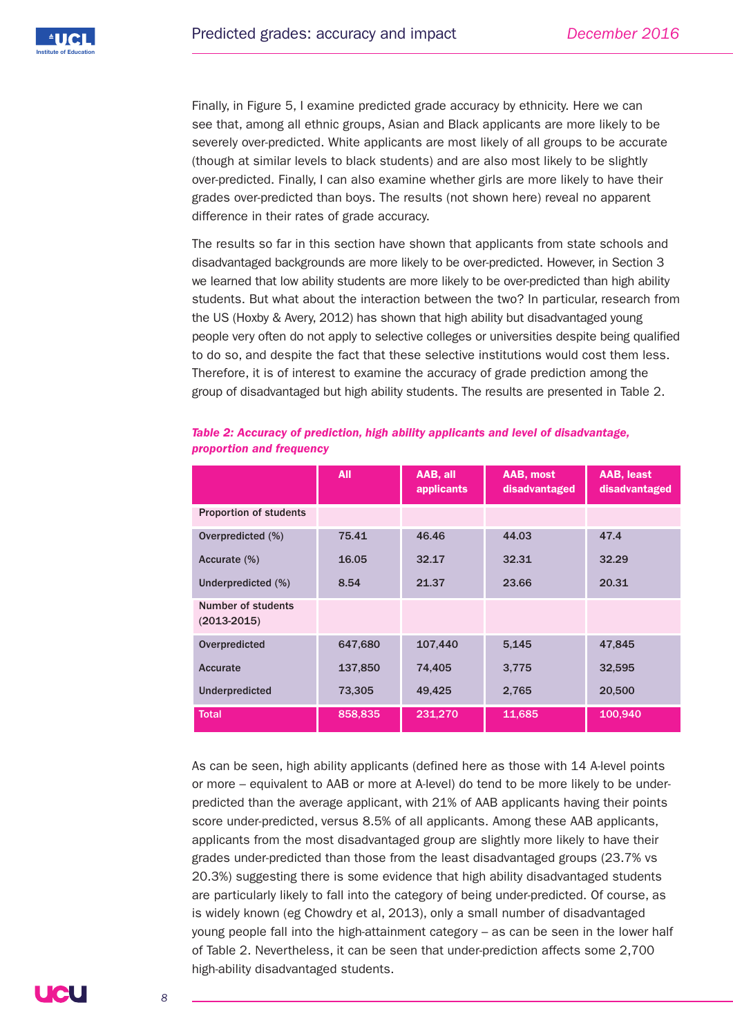Finally, in Figure 5, I examine predicted grade accuracy by ethnicity. Here we can see that, among all ethnic groups, Asian and Black applicants are more likely to be severely over-predicted. White applicants are most likely of all groups to be accurate (though at similar levels to black students) and are also most likely to be slightly over-predicted. Finally, I can also examine whether girls are more likely to have their grades over-predicted than boys. The results (not shown here) reveal no apparent difference in their rates of grade accuracy.

The results so far in this section have shown that applicants from state schools and disadvantaged backgrounds are more likely to be over-predicted. However, in Section 3 we learned that low ability students are more likely to be over-predicted than high ability students. But what about the interaction between the two? In particular, research from the US (Hoxby & Avery, 2012) has shown that high ability but disadvantaged young people very often do not apply to selective colleges or universities despite being qualified to do so, and despite the fact that these selective institutions would cost them less. Therefore, it is of interest to examine the accuracy of grade prediction among the group of disadvantaged but high ability students. The results are presented in Table 2.

|                                       | <b>All</b> | AAB, all<br>applicants | AAB, most<br>disadvantaged | AAB, least<br>disadvantaged |
|---------------------------------------|------------|------------------------|----------------------------|-----------------------------|
| <b>Proportion of students</b>         |            |                        |                            |                             |
| Overpredicted (%)                     | 75.41      | 46.46                  | 44.03                      | 47.4                        |
| Accurate (%)                          | 16.05      | 32.17                  | 32.31                      | 32.29                       |
| Underpredicted (%)                    | 8.54       | 21.37                  | 23.66                      | 20.31                       |
| Number of students<br>$(2013 - 2015)$ |            |                        |                            |                             |
| Overpredicted                         | 647,680    | 107,440                | 5,145                      | 47,845                      |
| Accurate                              | 137,850    | 74,405                 | 3,775                      | 32,595                      |
| <b>Underpredicted</b>                 | 73,305     | 49,425                 | 2,765                      | 20,500                      |
| <b>Total</b>                          | 858,835    | 231,270                | 11,685                     | 100,940                     |

#### *Table 2: Accuracy of prediction, high ability applicants and level of disadvantage, proportion and frequency*

As can be seen, high ability applicants (defined here as those with 14 A-level points or more – equivalent to AAB or more at A-level) do tend to be more likely to be underpredicted than the average applicant, with 21% of AAB applicants having their points score under-predicted, versus 8.5% of all applicants. Among these AAB applicants, applicants from the most disadvantaged group are slightly more likely to have their grades under-predicted than those from the least disadvantaged groups (23.7% vs 20.3%) suggesting there is some evidence that high ability disadvantaged students are particularly likely to fall into the category of being under-predicted. Of course, as is widely known (eg Chowdry et al, 2013), only a small number of disadvantaged young people fall into the high-attainment category – as can be seen in the lower half of Table 2. Nevertheless, it can be seen that under-prediction affects some 2,700 high-ability disadvantaged students.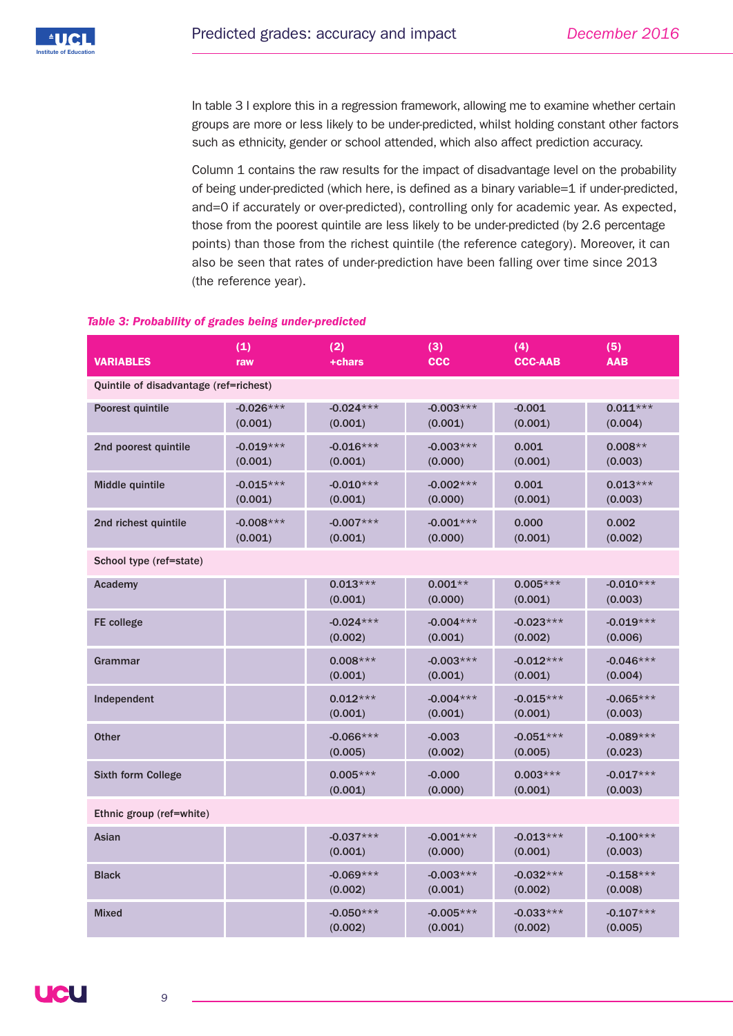In table 3 I explore this in a regression framework, allowing me to examine whether certain groups are more or less likely to be under-predicted, whilst holding constant other factors such as ethnicity, gender or school attended, which also affect prediction accuracy.

Column 1 contains the raw results for the impact of disadvantage level on the probability of being under-predicted (which here, is defined as a binary variable=1 if under-predicted, and=0 if accurately or over-predicted), controlling only for academic year. As expected, those from the poorest quintile are less likely to be under-predicted (by 2.6 percentage points) than those from the richest quintile (the reference category). Moreover, it can also be seen that rates of under-prediction have been falling over time since 2013 (the reference year).

# *Table 3: Probability of grades being under-predicted*

| <b>VARIABLES</b>                       | (1)<br>raw             | (2)<br>+chars          | (3)<br><b>CCC</b>      | (4)<br><b>CCC-AAB</b>  | (5)<br><b>AAB</b>      |  |
|----------------------------------------|------------------------|------------------------|------------------------|------------------------|------------------------|--|
| Quintile of disadvantage (ref=richest) |                        |                        |                        |                        |                        |  |
| Poorest quintile                       | $-0.026***$<br>(0.001) | $-0.024***$<br>(0.001) | $-0.003***$<br>(0.001) | $-0.001$<br>(0.001)    | $0.011***$<br>(0.004)  |  |
| 2nd poorest quintile                   | $-0.019***$<br>(0.001) | $-0.016***$<br>(0.001) | $-0.003***$<br>(0.000) | 0.001<br>(0.001)       | $0.008**$<br>(0.003)   |  |
| Middle quintile                        | $-0.015***$<br>(0.001) | $-0.010***$<br>(0.001) | $-0.002***$<br>(0.000) | 0.001<br>(0.001)       | $0.013***$<br>(0.003)  |  |
| 2nd richest quintile                   | $-0.008***$<br>(0.001) | $-0.007***$<br>(0.001) | $-0.001***$<br>(0.000) | 0.000<br>(0.001)       | 0.002<br>(0.002)       |  |
| School type (ref=state)                |                        |                        |                        |                        |                        |  |
| Academy                                |                        | $0.013***$<br>(0.001)  | $0.001**$<br>(0.000)   | $0.005***$<br>(0.001)  | $-0.010***$<br>(0.003) |  |
| <b>FE</b> college                      |                        | $-0.024***$<br>(0.002) | $-0.004***$<br>(0.001) | $-0.023***$<br>(0.002) | $-0.019***$<br>(0.006) |  |
| Grammar                                |                        | $0.008***$<br>(0.001)  | $-0.003***$<br>(0.001) | $-0.012***$<br>(0.001) | $-0.046***$<br>(0.004) |  |
| Independent                            |                        | $0.012***$<br>(0.001)  | $-0.004***$<br>(0.001) | $-0.015***$<br>(0.001) | $-0.065***$<br>(0.003) |  |
| <b>Other</b>                           |                        | $-0.066***$<br>(0.005) | $-0.003$<br>(0.002)    | $-0.051***$<br>(0.005) | $-0.089***$<br>(0.023) |  |
| Sixth form College                     |                        | $0.005***$<br>(0.001)  | $-0.000$<br>(0.000)    | $0.003***$<br>(0.001)  | $-0.017***$<br>(0.003) |  |
| Ethnic group (ref=white)               |                        |                        |                        |                        |                        |  |
| <b>Asian</b>                           |                        | $-0.037***$<br>(0.001) | $-0.001***$<br>(0.000) | $-0.013***$<br>(0.001) | $-0.100***$<br>(0.003) |  |
| <b>Black</b>                           |                        | $-0.069***$<br>(0.002) | $-0.003***$<br>(0.001) | $-0.032***$<br>(0.002) | $-0.158***$<br>(0.008) |  |
| <b>Mixed</b>                           |                        | $-0.050***$<br>(0.002) | $-0.005***$<br>(0.001) | $-0.033***$<br>(0.002) | $-0.107***$<br>(0.005) |  |

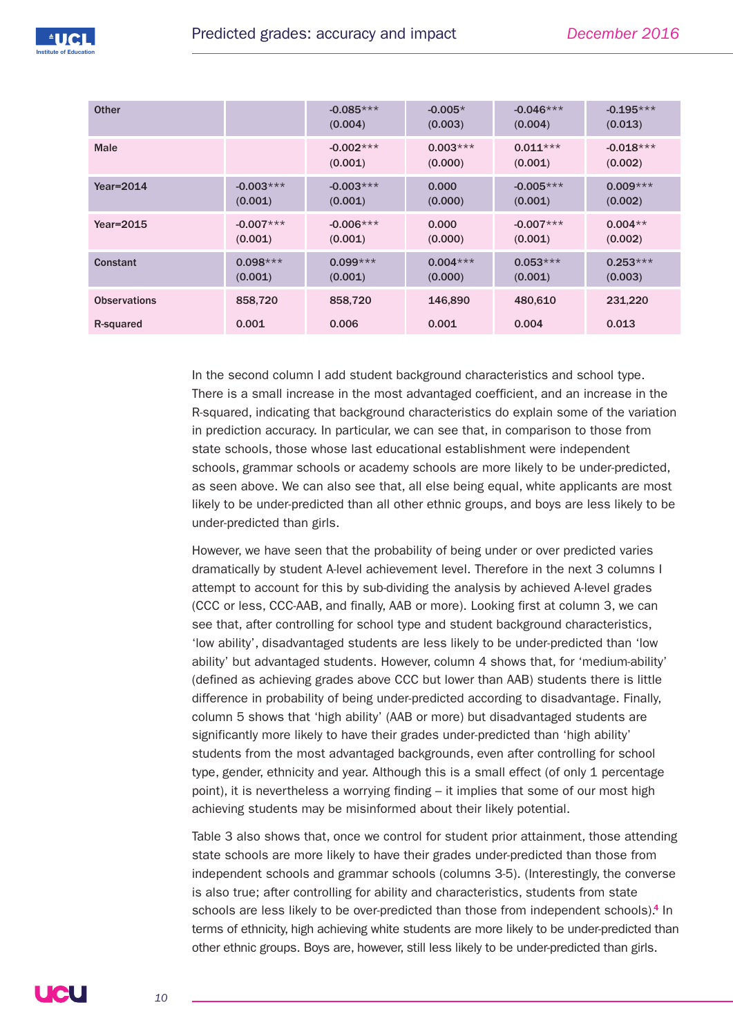| <b>Other</b>        |                        | $-0.085***$<br>(0.004) | $-0.005*$<br>(0.003)  | $-0.046***$<br>(0.004) | $-0.195***$<br>(0.013) |
|---------------------|------------------------|------------------------|-----------------------|------------------------|------------------------|
| Male                |                        | $-0.002***$<br>(0.001) | $0.003***$<br>(0.000) | $0.011***$<br>(0.001)  | $-0.018***$<br>(0.002) |
| Year=2014           | $-0.003***$<br>(0.001) | $-0.003***$<br>(0.001) | 0.000<br>(0.000)      | $-0.005***$<br>(0.001) | $0.009***$<br>(0.002)  |
| Year=2015           | $-0.007***$<br>(0.001) | $-0.006***$<br>(0.001) | 0.000<br>(0.000)      | $-0.007***$<br>(0.001) | $0.004**$<br>(0.002)   |
| <b>Constant</b>     | $0.098***$<br>(0.001)  | $0.099***$<br>(0.001)  | $0.004***$<br>(0.000) | $0.053***$<br>(0.001)  | $0.253***$<br>(0.003)  |
| <b>Observations</b> | 858,720                | 858,720                | 146,890               | 480,610                | 231,220                |
| R-squared           | 0.001                  | 0.006                  | 0.001                 | 0.004                  | 0.013                  |

In the second column I add student background characteristics and school type. There is a small increase in the most advantaged coefficient, and an increase in the R-squared, indicating that background characteristics do explain some of the variation in prediction accuracy. In particular, we can see that, in comparison to those from state schools, those whose last educational establishment were independent schools, grammar schools or academy schools are more likely to be under-predicted, as seen above. We can also see that, all else being equal, white applicants are most likely to be under-predicted than all other ethnic groups, and boys are less likely to be under-predicted than girls.

However, we have seen that the probability of being under or over predicted varies dramatically by student A-level achievement level. Therefore in the next 3 columns I attempt to account for this by sub-dividing the analysis by achieved A-level grades (CCC or less, CCC-AAB, and finally, AAB or more). Looking first at column 3, we can see that, after controlling for school type and student background characteristics, 'low ability', disadvantaged students are less likely to be under-predicted than 'low ability' but advantaged students. However, column 4 shows that, for 'medium-ability' (defined as achieving grades above CCC but lower than AAB) students there is little difference in probability of being under-predicted according to disadvantage. Finally, column 5 shows that 'high ability' (AAB or more) but disadvantaged students are significantly more likely to have their grades under-predicted than 'high ability' students from the most advantaged backgrounds, even after controlling for school type, gender, ethnicity and year. Although this is a small effect (of only 1 percentage point), it is nevertheless a worrying finding – it implies that some of our most high achieving students may be misinformed about their likely potential.

Table 3 also shows that, once we control for student prior attainment, those attending state schools are more likely to have their grades under-predicted than those from independent schools and grammar schools (columns 3-5). (Interestingly, the converse is also true; after controlling for ability and characteristics, students from state schools are less likely to be over-predicted than those from independent schools). **<sup>4</sup>** In terms of ethnicity, high achieving white students are more likely to be under-predicted than other ethnic groups. Boys are, however, still less likely to be under-predicted than girls.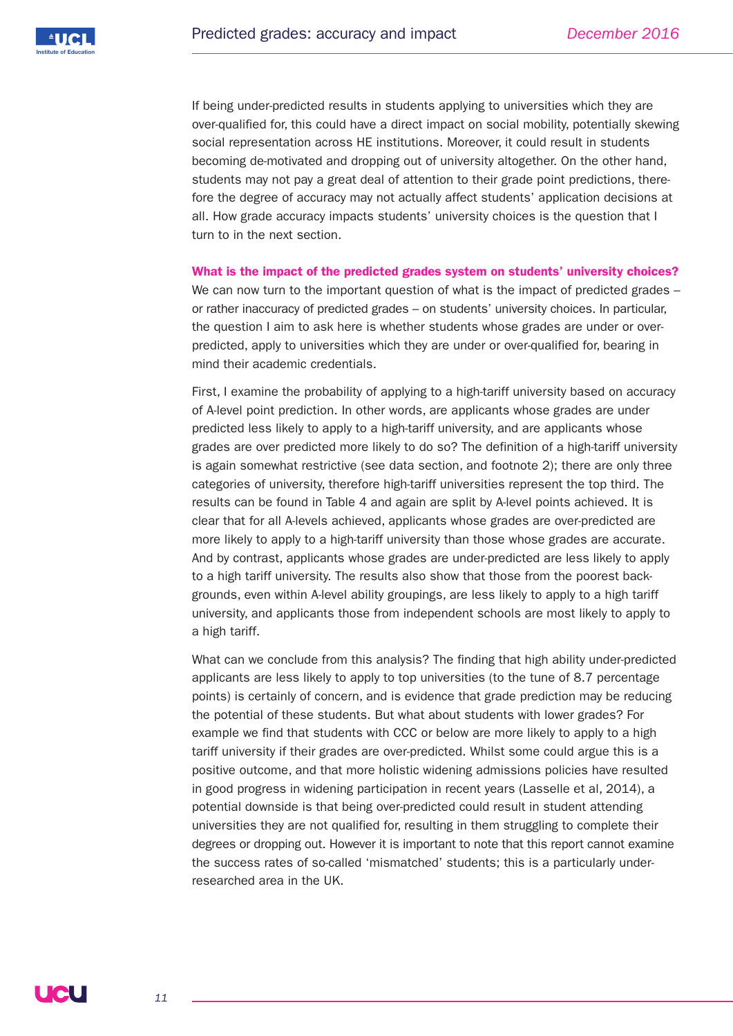

If being under-predicted results in students applying to universities which they are over-qualified for, this could have a direct impact on social mobility, potentially skewing social representation across HE institutions. Moreover, it could result in students becoming de-motivated and dropping out of university altogether. On the other hand, students may not pay a great deal of attention to their grade point predictions, therefore the degree of accuracy may not actually affect students' application decisions at all. How grade accuracy impacts students' university choices is the question that I turn to in the next section.

**What is the impact of the predicted grades system on students' university choices?**

We can now turn to the important question of what is the impact of predicted grades – or rather inaccuracy of predicted grades – on students' university choices. In particular, the question I aim to ask here is whether students whose grades are under or overpredicted, apply to universities which they are under or over-qualified for, bearing in mind their academic credentials.

First, I examine the probability of applying to a high-tariff university based on accuracy of A-level point prediction. In other words, are applicants whose grades are under predicted less likely to apply to a high-tariff university, and are applicants whose grades are over predicted more likely to do so? The definition of a high-tariff university is again somewhat restrictive (see data section, and footnote 2); there are only three categories of university, therefore high-tariff universities represent the top third. The results can be found in Table 4 and again are split by A-level points achieved. It is clear that for all A-levels achieved, applicants whose grades are over-predicted are more likely to apply to a high-tariff university than those whose grades are accurate. And by contrast, applicants whose grades are under-predicted are less likely to apply to a high tariff university. The results also show that those from the poorest backgrounds, even within A-level ability groupings, are less likely to apply to a high tariff university, and applicants those from independent schools are most likely to apply to a high tariff.

What can we conclude from this analysis? The finding that high ability under-predicted applicants are less likely to apply to top universities (to the tune of 8.7 percentage points) is certainly of concern, and is evidence that grade prediction may be reducing the potential of these students. But what about students with lower grades? For example we find that students with CCC or below are more likely to apply to a high tariff university if their grades are over-predicted. Whilst some could argue this is a positive outcome, and that more holistic widening admissions policies have resulted in good progress in widening participation in recent years (Lasselle et al, 2014), a potential downside is that being over-predicted could result in student attending universities they are not qualified for, resulting in them struggling to complete their degrees or dropping out. However it is important to note that this report cannot examine the success rates of so-called 'mismatched' students; this is a particularly underresearched area in the UK.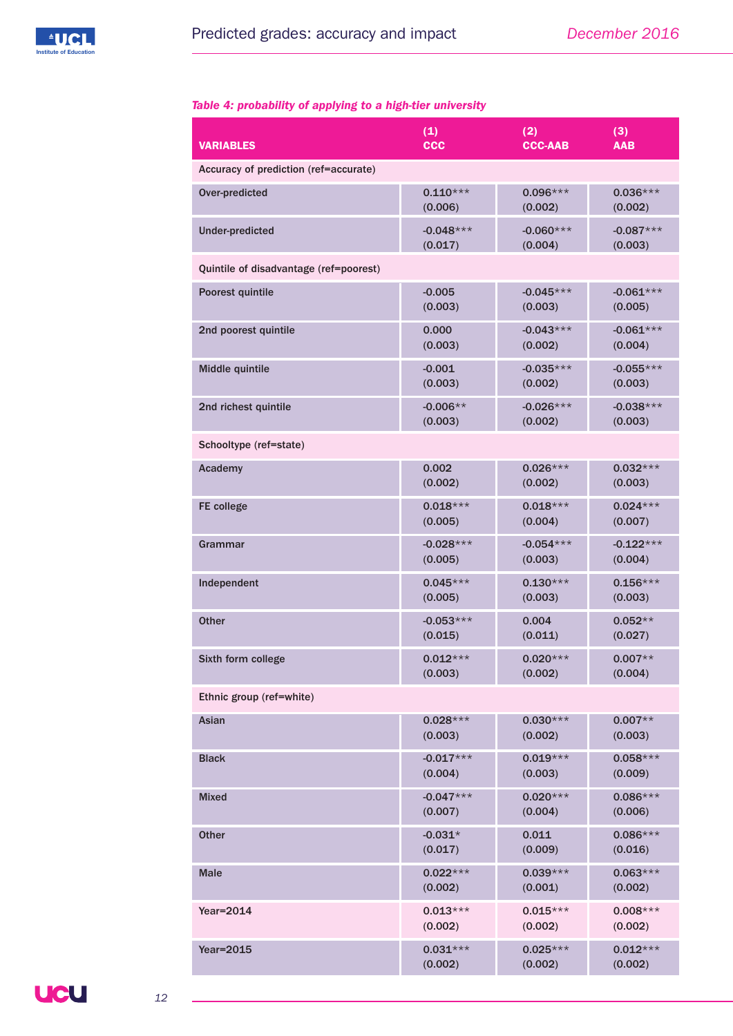

# *Table 4: probability of applying to a high-tier university*

| <b>VARIABLES</b>                       | (1)         | (2)            | (3)         |  |  |
|----------------------------------------|-------------|----------------|-------------|--|--|
|                                        | <b>CCC</b>  | <b>CCC-AAB</b> | <b>AAB</b>  |  |  |
| Accuracy of prediction (ref=accurate)  |             |                |             |  |  |
| Over-predicted                         | $0.110***$  | $0.096***$     | $0.036***$  |  |  |
|                                        | (0.006)     | (0.002)        | (0.002)     |  |  |
| <b>Under-predicted</b>                 | $-0.048***$ | $-0.060***$    | $-0.087***$ |  |  |
|                                        | (0.017)     | (0.004)        | (0.003)     |  |  |
| Quintile of disadvantage (ref=poorest) |             |                |             |  |  |
| Poorest quintile                       | $-0.005$    | $-0.045***$    | $-0.061***$ |  |  |
|                                        | (0.003)     | (0.003)        | (0.005)     |  |  |
| 2nd poorest quintile                   | 0.000       | $-0.043***$    | $-0.061***$ |  |  |
|                                        | (0.003)     | (0.002)        | (0.004)     |  |  |
| Middle quintile                        | $-0.001$    | $-0.035***$    | $-0.055***$ |  |  |
|                                        | (0.003)     | (0.002)        | (0.003)     |  |  |
| 2nd richest quintile                   | $-0.006**$  | $-0.026***$    | $-0.038***$ |  |  |
|                                        | (0.003)     | (0.002)        | (0.003)     |  |  |
| Schooltype (ref=state)                 |             |                |             |  |  |
| Academy                                | 0.002       | $0.026***$     | $0.032***$  |  |  |
|                                        | (0.002)     | (0.002)        | (0.003)     |  |  |
| FE college                             | $0.018***$  | $0.018***$     | $0.024***$  |  |  |
|                                        | (0.005)     | (0.004)        | (0.007)     |  |  |
| Grammar                                | $-0.028***$ | $-0.054***$    | $-0.122***$ |  |  |
|                                        | (0.005)     | (0.003)        | (0.004)     |  |  |
| Independent                            | $0.045***$  | $0.130***$     | $0.156***$  |  |  |
|                                        | (0.005)     | (0.003)        | (0.003)     |  |  |
| <b>Other</b>                           | $-0.053***$ | 0.004          | $0.052**$   |  |  |
|                                        | (0.015)     | (0.011)        | (0.027)     |  |  |
| Sixth form college                     | $0.012***$  | $0.020***$     | $0.007**$   |  |  |
|                                        | (0.003)     | (0.002)        | (0.004)     |  |  |
| Ethnic group (ref=white)               |             |                |             |  |  |
| Asian                                  | $0.028***$  | $0.030***$     | $0.007**$   |  |  |
|                                        | (0.003)     | (0.002)        | (0.003)     |  |  |
| <b>Black</b>                           | $-0.017***$ | $0.019***$     | $0.058***$  |  |  |
|                                        | (0.004)     | (0.003)        | (0.009)     |  |  |
| <b>Mixed</b>                           | $-0.047***$ | $0.020***$     | $0.086***$  |  |  |
|                                        | (0.007)     | (0.004)        | (0.006)     |  |  |
| <b>Other</b>                           | $-0.031*$   | 0.011          | $0.086***$  |  |  |
|                                        | (0.017)     | (0.009)        | (0.016)     |  |  |
| <b>Male</b>                            | $0.022***$  | $0.039***$     | $0.063***$  |  |  |
|                                        | (0.002)     | (0.001)        | (0.002)     |  |  |
| Year=2014                              | $0.013***$  | $0.015***$     | $0.008***$  |  |  |
|                                        | (0.002)     | (0.002)        | (0.002)     |  |  |
| <b>Year=2015</b>                       | $0.031***$  | $0.025***$     | $0.012***$  |  |  |
|                                        | (0.002)     | (0.002)        | (0.002)     |  |  |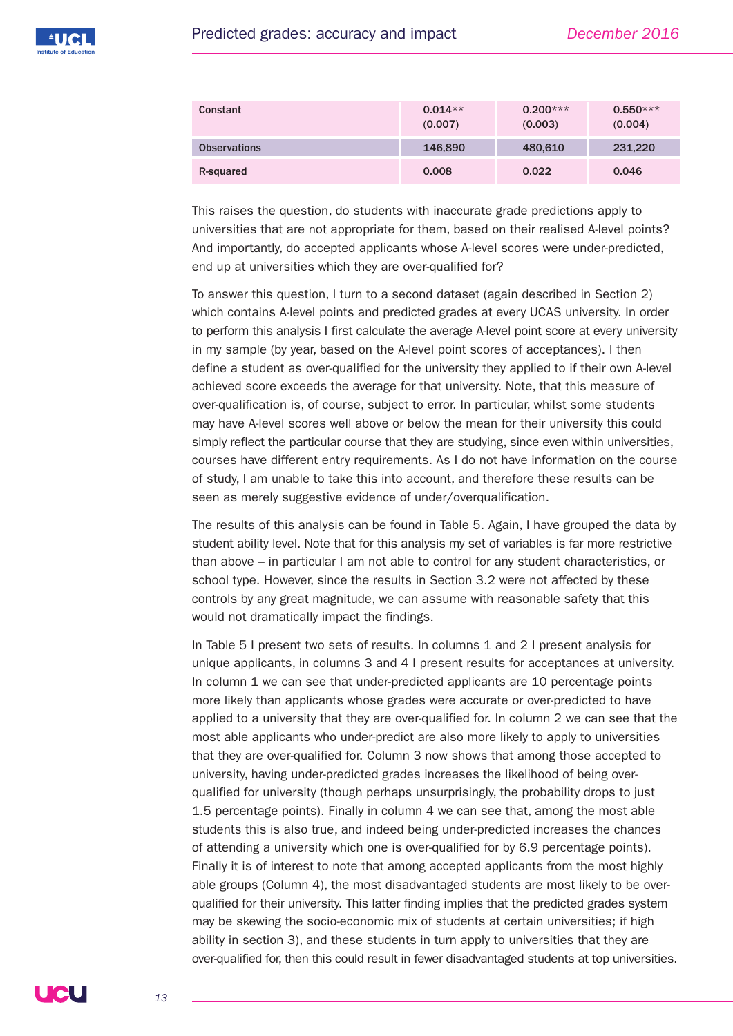

| Constant            | $0.014**$<br>(0.007) | $0.200***$<br>(0.003) | $0.550***$<br>(0.004) |
|---------------------|----------------------|-----------------------|-----------------------|
| <b>Observations</b> | 146,890              | 480,610               | 231.220               |
| R-squared           | 0.008                | 0.022                 | 0.046                 |

This raises the question, do students with inaccurate grade predictions apply to universities that are not appropriate for them, based on their realised A-level points? And importantly, do accepted applicants whose A-level scores were under-predicted, end up at universities which they are over-qualified for?

To answer this question, I turn to a second dataset (again described in Section 2) which contains A-level points and predicted grades at every UCAS university. In order to perform this analysis I first calculate the average A-level point score at every university in my sample (by year, based on the A-level point scores of acceptances). I then define a student as over-qualified for the university they applied to if their own A-level achieved score exceeds the average for that university. Note, that this measure of over-qualification is, of course, subject to error. In particular, whilst some students may have A-level scores well above or below the mean for their university this could simply reflect the particular course that they are studying, since even within universities, courses have different entry requirements. As I do not have information on the course of study, I am unable to take this into account, and therefore these results can be seen as merely suggestive evidence of under/overqualification.

The results of this analysis can be found in Table 5. Again, I have grouped the data by student ability level. Note that for this analysis my set of variables is far more restrictive than above – in particular I am not able to control for any student characteristics, or school type. However, since the results in Section 3.2 were not affected by these controls by any great magnitude, we can assume with reasonable safety that this would not dramatically impact the findings.

In Table 5 I present two sets of results. In columns 1 and 2 I present analysis for unique applicants, in columns 3 and 4 I present results for acceptances at university. In column 1 we can see that under-predicted applicants are 10 percentage points more likely than applicants whose grades were accurate or over-predicted to have applied to a university that they are over-qualified for. In column 2 we can see that the most able applicants who under-predict are also more likely to apply to universities that they are over-qualified for. Column 3 now shows that among those accepted to university, having under-predicted grades increases the likelihood of being overqualified for university (though perhaps unsurprisingly, the probability drops to just 1.5 percentage points). Finally in column 4 we can see that, among the most able students this is also true, and indeed being under-predicted increases the chances of attending a university which one is over-qualified for by 6.9 percentage points). Finally it is of interest to note that among accepted applicants from the most highly able groups (Column 4), the most disadvantaged students are most likely to be overqualified for their university. This latter finding implies that the predicted grades system may be skewing the socio-economic mix of students at certain universities; if high ability in section 3), and these students in turn apply to universities that they are over-qualified for, then this could result in fewer disadvantaged students at top universities.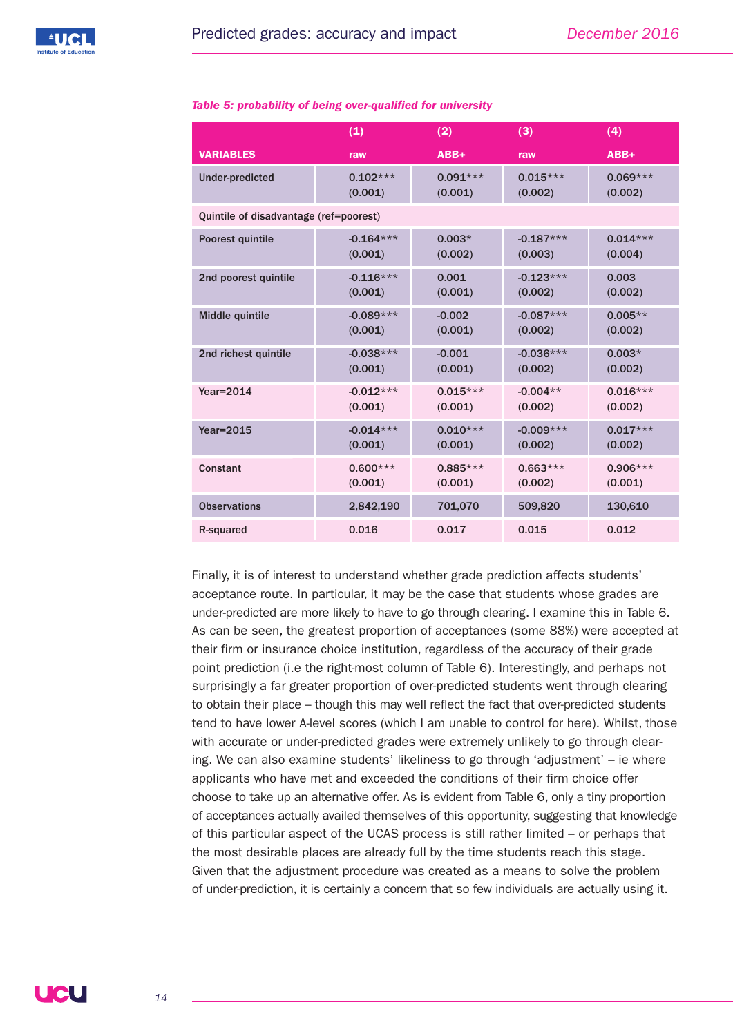|                                        | (1)         | (2)        | (3)         | (4)        |
|----------------------------------------|-------------|------------|-------------|------------|
| <b>VARIABLES</b>                       | raw         | ABB+       | raw         | ABB+       |
| <b>Under-predicted</b>                 | $0.102***$  | $0.091***$ | $0.015***$  | $0.069***$ |
|                                        | (0.001)     | (0.001)    | (0.002)     | (0.002)    |
| Quintile of disadvantage (ref=poorest) |             |            |             |            |
| Poorest quintile                       | $-0.164***$ | $0.003*$   | $-0.187***$ | $0.014***$ |
|                                        | (0.001)     | (0.002)    | (0.003)     | (0.004)    |
| 2nd poorest quintile                   | $-0.116***$ | 0.001      | $-0.123***$ | 0.003      |
|                                        | (0.001)     | (0.001)    | (0.002)     | (0.002)    |
| Middle quintile                        | $-0.089***$ | $-0.002$   | $-0.087***$ | $0.005**$  |
|                                        | (0.001)     | (0.001)    | (0.002)     | (0.002)    |
| 2nd richest quintile                   | $-0.038***$ | $-0.001$   | $-0.036***$ | $0.003*$   |
|                                        | (0.001)     | (0.001)    | (0.002)     | (0.002)    |
| Year=2014                              | $-0.012***$ | $0.015***$ | $-0.004**$  | $0.016***$ |
|                                        | (0.001)     | (0.001)    | (0.002)     | (0.002)    |
| <b>Year=2015</b>                       | $-0.014***$ | $0.010***$ | $-0.009***$ | $0.017***$ |
|                                        | (0.001)     | (0.001)    | (0.002)     | (0.002)    |
| <b>Constant</b>                        | $0.600***$  | $0.885***$ | $0.663***$  | $0.906***$ |
|                                        | (0.001)     | (0.001)    | (0.002)     | (0.001)    |
| <b>Observations</b>                    | 2,842,190   | 701,070    | 509,820     | 130,610    |
| R-squared                              | 0.016       | 0.017      | 0.015       | 0.012      |

#### *Table 5: probability of being over-qualified for university*

Finally, it is of interest to understand whether grade prediction affects students' acceptance route. In particular, it may be the case that students whose grades are under-predicted are more likely to have to go through clearing. I examine this in Table 6. As can be seen, the greatest proportion of acceptances (some 88%) were accepted at their firm or insurance choice institution, regardless of the accuracy of their grade point prediction (i.e the right-most column of Table 6). Interestingly, and perhaps not surprisingly a far greater proportion of over-predicted students went through clearing to obtain their place – though this may well reflect the fact that over-predicted students tend to have lower A-level scores (which I am unable to control for here). Whilst, those with accurate or under-predicted grades were extremely unlikely to go through clearing. We can also examine students' likeliness to go through 'adjustment' – ie where applicants who have met and exceeded the conditions of their firm choice offer choose to take up an alternative offer. As is evident from Table 6, only a tiny proportion of acceptances actually availed themselves of this opportunity, suggesting that knowledge of this particular aspect of the UCAS process is still rather limited – or perhaps that the most desirable places are already full by the time students reach this stage. Given that the adjustment procedure was created as a means to solve the problem of under-prediction, it is certainly a concern that so few individuals are actually using it.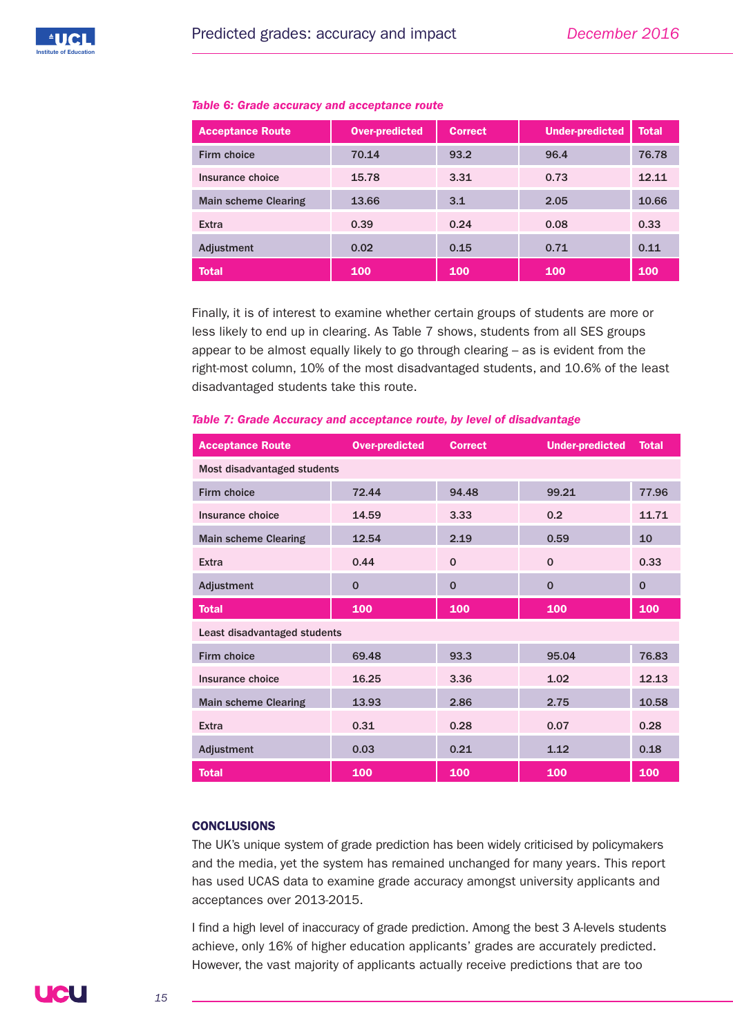| <b>Acceptance Route</b>     | <b>Over-predicted</b> | <b>Correct</b> | <b>Under-predicted</b> | <b>Total</b> |
|-----------------------------|-----------------------|----------------|------------------------|--------------|
| Firm choice                 | 70.14                 | 93.2           | 96.4                   | 76.78        |
| Insurance choice            | 15.78                 | 3.31           | 0.73                   | 12.11        |
| <b>Main scheme Clearing</b> | 13.66                 | 3.1            | 2.05                   | 10.66        |
| Extra                       | 0.39                  | 0.24           | 0.08                   | 0.33         |
| Adjustment                  | 0.02                  | 0.15           | 0.71                   | 0.11         |
| <b>Total</b>                | 100                   | 100            | 100                    | 100          |

#### *Table 6: Grade accuracy and acceptance route*

Finally, it is of interest to examine whether certain groups of students are more or less likely to end up in clearing. As Table 7 shows, students from all SES groups appear to be almost equally likely to go through clearing – as is evident from the right-most column, 10% of the most disadvantaged students, and 10.6% of the least disadvantaged students take this route.

| <b>Acceptance Route</b>      | <b>Over-predicted</b> | <b>Correct</b> | <b>Under-predicted</b> | <b>Total</b> |  |  |
|------------------------------|-----------------------|----------------|------------------------|--------------|--|--|
| Most disadvantaged students  |                       |                |                        |              |  |  |
| Firm choice                  | 72.44                 | 94.48          | 99.21                  | 77.96        |  |  |
| Insurance choice             | 14.59                 | 3.33           | 0.2                    | 11.71        |  |  |
| <b>Main scheme Clearing</b>  | 12.54                 | 2.19           | 0.59                   | 10           |  |  |
| Extra                        | 0.44                  | $\mathbf 0$    | $\Omega$               | 0.33         |  |  |
| Adjustment                   | $\mathbf 0$           | $\mathbf{0}$   | $\mathbf 0$            | $\mathbf{0}$ |  |  |
| <b>Total</b>                 | 100                   | 100            | 100                    | 100          |  |  |
| Least disadvantaged students |                       |                |                        |              |  |  |
| Firm choice                  | 69.48                 | 93.3           | 95.04                  | 76.83        |  |  |
| Insurance choice             | 16.25                 | 3.36           | 1.02                   | 12.13        |  |  |
| <b>Main scheme Clearing</b>  | 13.93                 | 2.86           | 2.75                   | 10.58        |  |  |
| Extra                        | 0.31                  | 0.28           | 0.07                   | 0.28         |  |  |
| Adjustment                   | 0.03                  | 0.21           | 1.12                   | 0.18         |  |  |
| <b>Total</b>                 | 100                   | 100            | 100                    | 100          |  |  |

#### *Table 7: Grade Accuracy and acceptance route, by level of disadvantage*

## **CONCLUSIONS**

The UK's unique system of grade prediction has been widely criticised by policymakers and the media, yet the system has remained unchanged for many years. This report has used UCAS data to examine grade accuracy amongst university applicants and acceptances over 2013-2015.

I find a high level of inaccuracy of grade prediction. Among the best 3 A-levels students achieve, only 16% of higher education applicants' grades are accurately predicted. However, the vast majority of applicants actually receive predictions that are too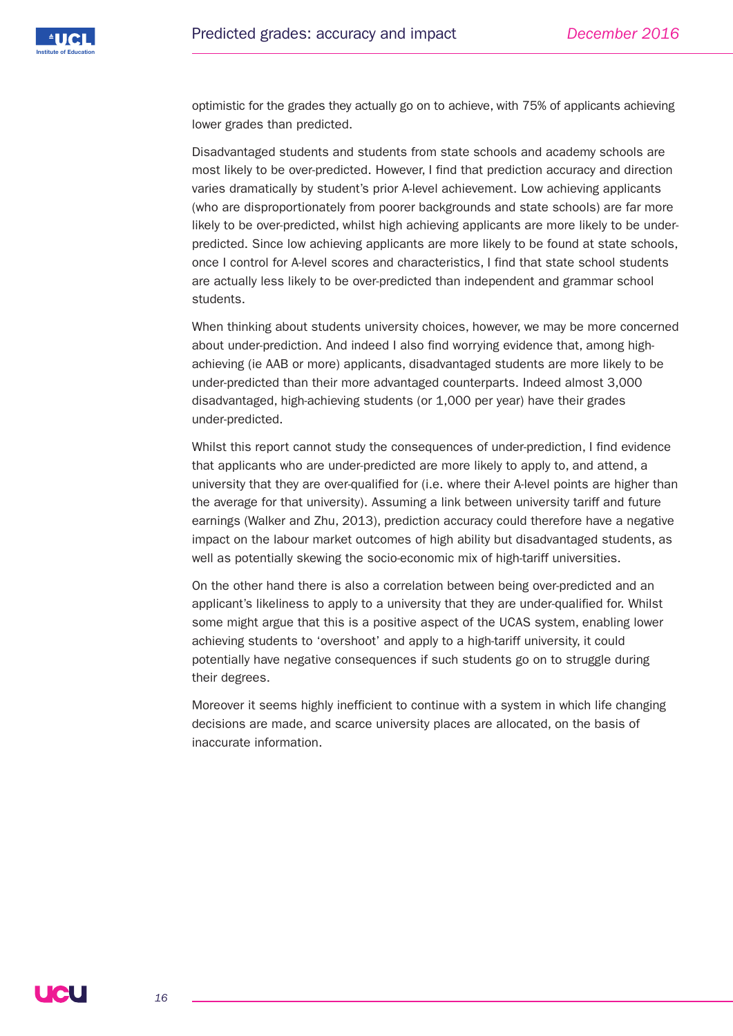

optimistic for the grades they actually go on to achieve, with 75% of applicants achieving lower grades than predicted.

Disadvantaged students and students from state schools and academy schools are most likely to be over-predicted. However, I find that prediction accuracy and direction varies dramatically by student's prior A-level achievement. Low achieving applicants (who are disproportionately from poorer backgrounds and state schools) are far more likely to be over-predicted, whilst high achieving applicants are more likely to be underpredicted. Since low achieving applicants are more likely to be found at state schools, once I control for A-level scores and characteristics, I find that state school students are actually less likely to be over-predicted than independent and grammar school students.

When thinking about students university choices, however, we may be more concerned about under-prediction. And indeed I also find worrying evidence that, among highachieving (ie AAB or more) applicants, disadvantaged students are more likely to be under-predicted than their more advantaged counterparts. Indeed almost 3,000 disadvantaged, high-achieving students (or 1,000 per year) have their grades under-predicted.

Whilst this report cannot study the consequences of under-prediction, I find evidence that applicants who are under-predicted are more likely to apply to, and attend, a university that they are over-qualified for (i.e. where their A-level points are higher than the average for that university). Assuming a link between university tariff and future earnings (Walker and Zhu, 2013), prediction accuracy could therefore have a negative impact on the labour market outcomes of high ability but disadvantaged students, as well as potentially skewing the socio-economic mix of high-tariff universities.

On the other hand there is also a correlation between being over-predicted and an applicant's likeliness to apply to a university that they are under-qualified for. Whilst some might argue that this is a positive aspect of the UCAS system, enabling lower achieving students to 'overshoot' and apply to a high-tariff university, it could potentially have negative consequences if such students go on to struggle during their degrees.

Moreover it seems highly inefficient to continue with a system in which life changing decisions are made, and scarce university places are allocated, on the basis of inaccurate information.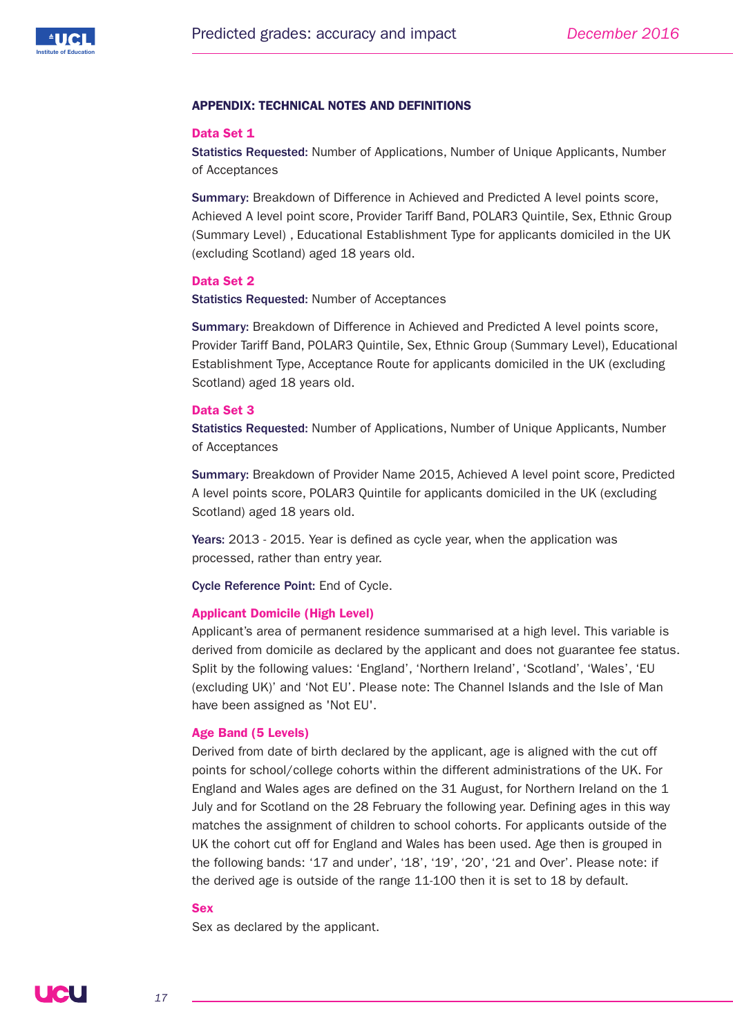

# **APPENDIX: TECHNICAL NOTES AND DEFINITIONS**

#### **Data Set 1**

Statistics Requested: Number of Applications, Number of Unique Applicants, Number of Acceptances

Summary: Breakdown of Difference in Achieved and Predicted A level points score, Achieved A level point score, Provider Tariff Band, POLAR3 Quintile, Sex, Ethnic Group (Summary Level) , Educational Establishment Type for applicants domiciled in the UK (excluding Scotland) aged 18 years old.

## **Data Set 2**

Statistics Requested: Number of Acceptances

Summary: Breakdown of Difference in Achieved and Predicted A level points score, Provider Tariff Band, POLAR3 Quintile, Sex, Ethnic Group (Summary Level), Educational Establishment Type, Acceptance Route for applicants domiciled in the UK (excluding Scotland) aged 18 years old.

#### **Data Set 3**

Statistics Requested: Number of Applications, Number of Unique Applicants, Number of Acceptances

Summary: Breakdown of Provider Name 2015, Achieved A level point score, Predicted A level points score, POLAR3 Quintile for applicants domiciled in the UK (excluding Scotland) aged 18 years old.

Years: 2013 - 2015. Year is defined as cycle year, when the application was processed, rather than entry year.

Cycle Reference Point: End of Cycle.

#### **Applicant Domicile (High Level)**

Applicant's area of permanent residence summarised at a high level. This variable is derived from domicile as declared by the applicant and does not guarantee fee status. Split by the following values: 'England', 'Northern Ireland', 'Scotland', 'Wales', 'EU (excluding UK)' and 'Not EU'. Please note: The Channel Islands and the Isle of Man have been assigned as 'Not EU'.

# **Age Band (5 Levels)**

Derived from date of birth declared by the applicant, age is aligned with the cut off points for school/college cohorts within the different administrations of the UK. For England and Wales ages are defined on the 31 August, for Northern Ireland on the 1 July and for Scotland on the 28 February the following year. Defining ages in this way matches the assignment of children to school cohorts. For applicants outside of the UK the cohort cut off for England and Wales has been used. Age then is grouped in the following bands: '17 and under', '18', '19', '20', '21 and Over'. Please note: if the derived age is outside of the range 11-100 then it is set to 18 by default.

# **Sex**

Sex as declared by the applicant.

**JCL**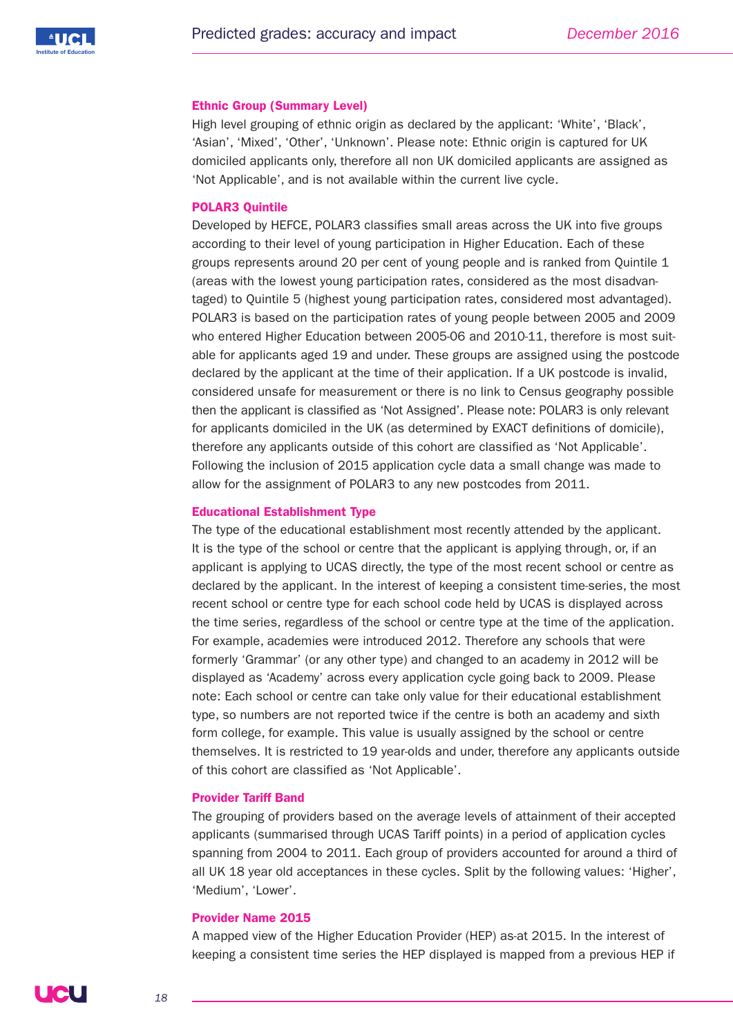

#### **Ethnic Group (Summary Level)**

High level grouping of ethnic origin as declared by the applicant: 'White', 'Black', 'Asian', 'Mixed', 'Other', 'Unknown'. Please note: Ethnic origin is captured for UK domiciled applicants only, therefore all non UK domiciled applicants are assigned as 'Not Applicable', and is not available within the current live cycle.

# **POLAR3 Quintile**

Developed by HEFCE, POLAR3 classifies small areas across the UK into five groups according to their level of young participation in Higher Education. Each of these groups represents around 20 per cent of young people and is ranked from Quintile 1 (areas with the lowest young participation rates, considered as the most disadvantaged) to Quintile 5 (highest young participation rates, considered most advantaged). POLAR3 is based on the participation rates of young people between 2005 and 2009 who entered Higher Education between 2005-06 and 2010-11, therefore is most suitable for applicants aged 19 and under. These groups are assigned using the postcode declared by the applicant at the time of their application. If a UK postcode is invalid, considered unsafe for measurement or there is no link to Census geography possible then the applicant is classified as 'Not Assigned'. Please note: POLAR3 is only relevant for applicants domiciled in the UK (as determined by EXACT definitions of domicile), therefore any applicants outside of this cohort are classified as 'Not Applicable'. Following the inclusion of 2015 application cycle data a small change was made to allow for the assignment of POLAR3 to any new postcodes from 2011.

#### **Educational Establishment Type**

The type of the educational establishment most recently attended by the applicant. It is the type of the school or centre that the applicant is applying through, or, if an applicant is applying to UCAS directly, the type of the most recent school or centre as declared by the applicant. In the interest of keeping a consistent time-series, the most recent school or centre type for each school code held by UCAS is displayed across the time series, regardless of the school or centre type at the time of the application. For example, academies were introduced 2012. Therefore any schools that were formerly 'Grammar' (or any other type) and changed to an academy in 2012 will be displayed as 'Academy' across every application cycle going back to 2009. Please note: Each school or centre can take only value for their educational establishment type, so numbers are not reported twice if the centre is both an academy and sixth form college, for example. This value is usually assigned by the school or centre themselves. It is restricted to 19 year-olds and under, therefore any applicants outside of this cohort are classified as 'Not Applicable'.

# **Provider Tariff Band**

The grouping of providers based on the average levels of attainment of their accepted applicants (summarised through UCAS Tariff points) in a period of application cycles spanning from 2004 to 2011. Each group of providers accounted for around a third of all UK 18 year old acceptances in these cycles. Split by the following values: 'Higher', 'Medium', 'Lower'.

#### **Provider Name 2015**

A mapped view of the Higher Education Provider (HEP) as-at 2015. In the interest of keeping a consistent time series the HEP displayed is mapped from a previous HEP if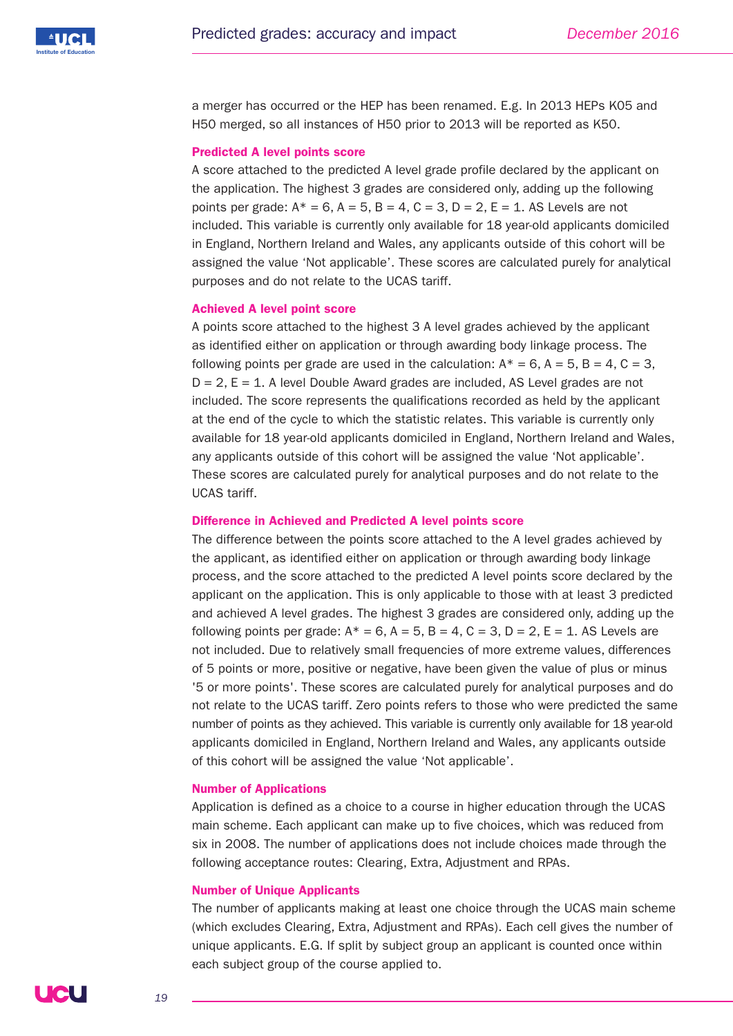

a merger has occurred or the HEP has been renamed. E.g. In 2013 HEPs K05 and H50 merged, so all instances of H50 prior to 2013 will be reported as K50.

#### **Predicted A level points score**

A score attached to the predicted A level grade profile declared by the applicant on the application. The highest 3 grades are considered only, adding up the following points per grade:  $A^* = 6$ ,  $A = 5$ ,  $B = 4$ ,  $C = 3$ ,  $D = 2$ ,  $E = 1$ . AS Levels are not included. This variable is currently only available for 18 year-old applicants domiciled in England, Northern Ireland and Wales, any applicants outside of this cohort will be assigned the value 'Not applicable'. These scores are calculated purely for analytical purposes and do not relate to the UCAS tariff.

#### **Achieved A level point score**

A points score attached to the highest 3 A level grades achieved by the applicant as identified either on application or through awarding body linkage process. The following points per grade are used in the calculation:  $A^* = 6$ ,  $A = 5$ ,  $B = 4$ ,  $C = 3$ ,  $D = 2$ ,  $E = 1$ . A level Double Award grades are included, AS Level grades are not included. The score represents the qualifications recorded as held by the applicant at the end of the cycle to which the statistic relates. This variable is currently only available for 18 year-old applicants domiciled in England, Northern Ireland and Wales, any applicants outside of this cohort will be assigned the value 'Not applicable'. These scores are calculated purely for analytical purposes and do not relate to the UCAS tariff.

#### **Difference in Achieved and Predicted A level points score**

The difference between the points score attached to the A level grades achieved by the applicant, as identified either on application or through awarding body linkage process, and the score attached to the predicted A level points score declared by the applicant on the application. This is only applicable to those with at least 3 predicted and achieved A level grades. The highest 3 grades are considered only, adding up the following points per grade:  $A^* = 6$ ,  $A = 5$ ,  $B = 4$ ,  $C = 3$ ,  $D = 2$ ,  $E = 1$ , AS Levels are not included. Due to relatively small frequencies of more extreme values, differences of 5 points or more, positive or negative, have been given the value of plus or minus '5 or more points'. These scores are calculated purely for analytical purposes and do not relate to the UCAS tariff. Zero points refers to those who were predicted the same number of points as they achieved. This variable is currently only available for 18 year-old applicants domiciled in England, Northern Ireland and Wales, any applicants outside of this cohort will be assigned the value 'Not applicable'.

## **Number of Applications**

Application is defined as a choice to a course in higher education through the UCAS main scheme. Each applicant can make up to five choices, which was reduced from six in 2008. The number of applications does not include choices made through the following acceptance routes: Clearing, Extra, Adjustment and RPAs.

#### **Number of Unique Applicants**

The number of applicants making at least one choice through the UCAS main scheme (which excludes Clearing, Extra, Adjustment and RPAs). Each cell gives the number of unique applicants. E.G. If split by subject group an applicant is counted once within each subject group of the course applied to.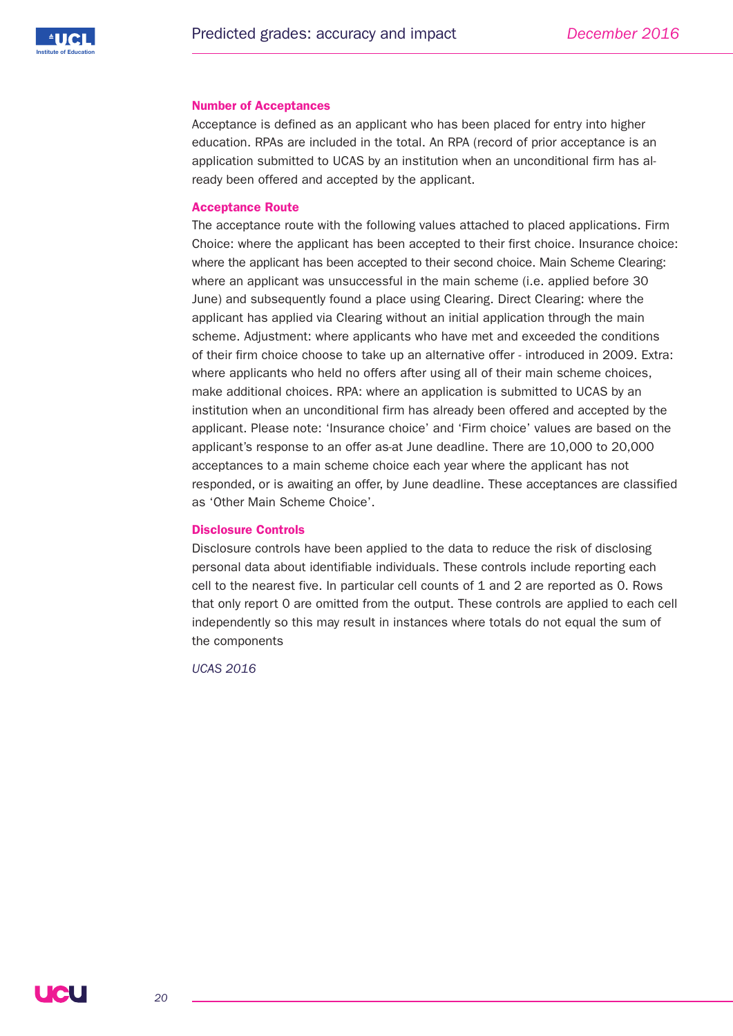

#### **Number of Acceptances**

Acceptance is defined as an applicant who has been placed for entry into higher education. RPAs are included in the total. An RPA (record of prior acceptance is an application submitted to UCAS by an institution when an unconditional firm has already been offered and accepted by the applicant.

# **Acceptance Route**

The acceptance route with the following values attached to placed applications. Firm Choice: where the applicant has been accepted to their first choice. Insurance choice: where the applicant has been accepted to their second choice. Main Scheme Clearing: where an applicant was unsuccessful in the main scheme (i.e. applied before 30 June) and subsequently found a place using Clearing. Direct Clearing: where the applicant has applied via Clearing without an initial application through the main scheme. Adjustment: where applicants who have met and exceeded the conditions of their firm choice choose to take up an alternative offer - introduced in 2009. Extra: where applicants who held no offers after using all of their main scheme choices, make additional choices. RPA: where an application is submitted to UCAS by an institution when an unconditional firm has already been offered and accepted by the applicant. Please note: 'Insurance choice' and 'Firm choice' values are based on the applicant's response to an offer as-at June deadline. There are 10,000 to 20,000 acceptances to a main scheme choice each year where the applicant has not responded, or is awaiting an offer, by June deadline. These acceptances are classified as 'Other Main Scheme Choice'.

# **Disclosure Controls**

Disclosure controls have been applied to the data to reduce the risk of disclosing personal data about identifiable individuals. These controls include reporting each cell to the nearest five. In particular cell counts of 1 and 2 are reported as 0. Rows that only report 0 are omitted from the output. These controls are applied to each cell independently so this may result in instances where totals do not equal the sum of the components

*UCAS 2016*